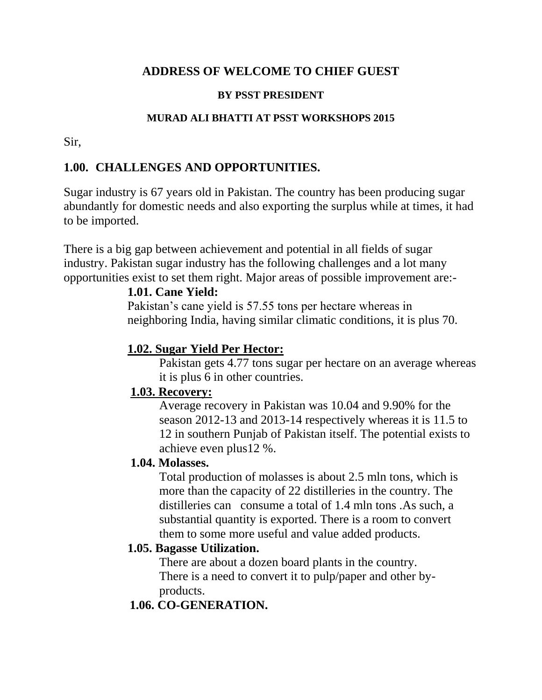# **ADDRESS OF WELCOME TO CHIEF GUEST**

#### **BY PSST PRESIDENT**

#### **MURAD ALI BHATTI AT PSST WORKSHOPS 2015**

Sir,

### **1.00. CHALLENGES AND OPPORTUNITIES.**

Sugar industry is 67 years old in Pakistan. The country has been producing sugar abundantly for domestic needs and also exporting the surplus while at times, it had to be imported.

There is a big gap between achievement and potential in all fields of sugar industry. Pakistan sugar industry has the following challenges and a lot many opportunities exist to set them right. Major areas of possible improvement are:-

# **1.01. Cane Yield:**

Pakistan's cane yield is 57.55 tons per hectare whereas in neighboring India, having similar climatic conditions, it is plus 70.

### **1.02. Sugar Yield Per Hector:**

Pakistan gets 4.77 tons sugar per hectare on an average whereas it is plus 6 in other countries.

### **1.03. Recovery:**

Average recovery in Pakistan was 10.04 and 9.90% for the season 2012-13 and 2013-14 respectively whereas it is 11.5 to 12 in southern Punjab of Pakistan itself. The potential exists to achieve even plus12 %.

### **1.04. Molasses.**

Total production of molasses is about 2.5 mln tons, which is more than the capacity of 22 distilleries in the country. The distilleries can consume a total of 1.4 mln tons .As such, a substantial quantity is exported. There is a room to convert them to some more useful and value added products.

### **1.05. Bagasse Utilization.**

There are about a dozen board plants in the country. There is a need to convert it to pulp/paper and other byproducts.

# **1.06. CO-GENERATION.**